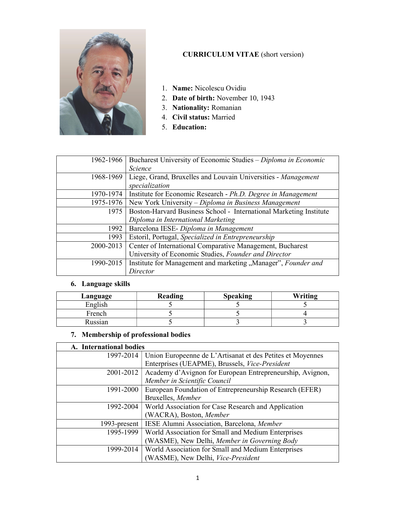

## CURRICULUM VITAE (short version)

- 1. Name: Nicolescu Ovidiu
- 2. Date of birth: November 10, 1943
- 3. Nationality: Romanian
- 4. Civil status: Married
- 5. Education:

| 1962-1966 | Bucharest University of Economic Studies - Diploma in Economic     |
|-----------|--------------------------------------------------------------------|
|           | <b>Science</b>                                                     |
| 1968-1969 | Liege, Grand, Bruxelles and Louvain Universities - Management      |
|           | specialization                                                     |
| 1970-1974 | Institute for Economic Research - Ph.D. Degree in Management       |
| 1975-1976 | New York University – Diploma in Business Management               |
| 1975      | Boston-Harvard Business School - International Marketing Institute |
|           | Diploma in International Marketing                                 |
| 1992      | Barcelona IESE- Diploma in Management                              |
| 1993      | Estoril, Portugal, Specialized in Entrepreneurship                 |
| 2000-2013 | Center of International Comparative Management, Bucharest          |
|           | University of Economic Studies, Founder and Director               |
| 1990-2015 | Institute for Management and marketing "Manager", Founder and      |
|           | Director                                                           |

## 6. Language skills

| Language | Reading | <b>Speaking</b> | Writing |
|----------|---------|-----------------|---------|
| English  |         |                 |         |
| French   |         |                 |         |
| Russian  |         |                 |         |

#### 7. Membership of professional bodies

| A. International bodies |                                                            |
|-------------------------|------------------------------------------------------------|
| 1997-2014               | Union Europeenne de L'Artisanat et des Petites et Moyennes |
|                         | Enterprises (UEAPME), Brussels, Vice-President             |
| 2001-2012               | Academy d'Avignon for European Entrepreneurship, Avignon,  |
|                         | Member in Scientific Council                               |
| 1991-2000               | European Foundation of Entrepreneurship Research (EFER)    |
|                         | Bruxelles, Member                                          |
| 1992-2004               | World Association for Case Research and Application        |
|                         | (WACRA), Boston, Member                                    |
| 1993-present            | IESE Alumni Association, Barcelona, Member                 |
| 1995-1999               | World Association for Small and Medium Enterprises         |
|                         | (WASME), New Delhi, Member in Governing Body               |
| 1999-2014               | World Association for Small and Medium Enterprises         |
|                         | (WASME), New Delhi, Vice-President                         |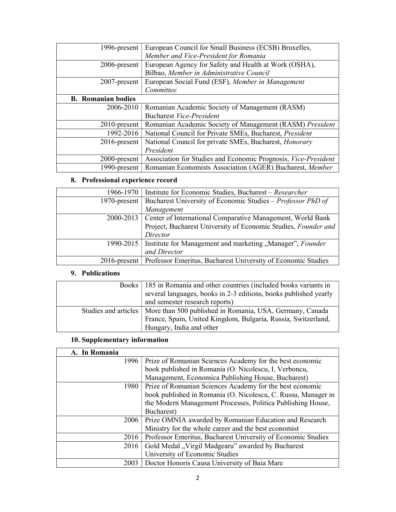| 1996-present              | European Council for Small Business (ECSB) Bruxelles,          |
|---------------------------|----------------------------------------------------------------|
|                           | Member and Vice-President for Romania                          |
| 2006-present              | European Agency for Safety and Health at Work (OSHA),          |
|                           | Bilbao, Member in Administrative Council                       |
| $2007$ -present           | European Social Fund (ESF), Member in Management               |
|                           | Committee                                                      |
| <b>B.</b> Romanian bodies |                                                                |
| 2006-2010                 | Romanian Academic Society of Management (RASM)                 |
|                           | <b>Bucharest Vice-President</b>                                |
| $2010$ -present           | Romanian Academic Society of Management (RASM) President       |
| 1992-2016                 | National Council for Private SMEs, Bucharest, President        |
| $2016$ -present           | National Council for private SMEs, Bucharest, <i>Honorary</i>  |
|                           | President                                                      |
| 2000-present              | Association for Studies and Economic Prognosis, Vice-President |
| 1990-present              | Romanian Economists Association (AGER) Bucharest, Member       |

# 8. Professional experience record

|                  | 1966-1970   Institute for Economic Studies, Bucharest – Researcher          |
|------------------|-----------------------------------------------------------------------------|
| 1970-present $ $ | Bucharest University of Economic Studies – Professor PhD of                 |
|                  | Management                                                                  |
|                  | 2000-2013   Center of International Comparative Management, World Bank      |
|                  | Project, Bucharest University of Economic Studies, Founder and              |
|                  | Director                                                                    |
|                  | 1990-2015   Institute for Management and marketing "Manager", Founder       |
|                  | and Director                                                                |
|                  | 2016-present   Professor Emeritus, Bucharest University of Economic Studies |

### 9. Publications

| Books   185 in Romania and other countries (included books variants in<br>several languages, books in 2-3 editions, books published yearly |
|--------------------------------------------------------------------------------------------------------------------------------------------|
| and semester research reports)                                                                                                             |
| Studies and articles   More than 500 published in Romania, USA, Germany, Canada                                                            |
| France, Spain, United Kingdom, Bulgaria, Russia, Switzerland,                                                                              |
| Hungary, India and other                                                                                                                   |

## 10. Supplementary information

| A. In Romania |                                                               |
|---------------|---------------------------------------------------------------|
| 1996          | Prize of Romanian Sciences Academy for the best economic      |
|               | book published in Romania (O. Nicolescu, I. Verboncu,         |
|               | Management, Economica Publishing House, Bucharest)            |
| 1980          | Prize of Romanian Sciences Academy for the best economic      |
|               | book published in Romania (O. Nicolescu, C. Russu, Manager in |
|               | the Modern Management Processes, Politica Publishing House,   |
|               | Bucharest)                                                    |
| 2006          | Prize OMNIA awarded by Romanian Education and Research        |
|               | Ministry for the whole career and the best economist          |
| 2016          | Professor Emeritus, Bucharest University of Economic Studies  |
| 2016          | Gold Medal "Virgil Madgearu" awarded by Bucharest             |
|               | University of Economic Studies                                |
| 2003          | Doctor Honoris Causa University of Baia Mare                  |